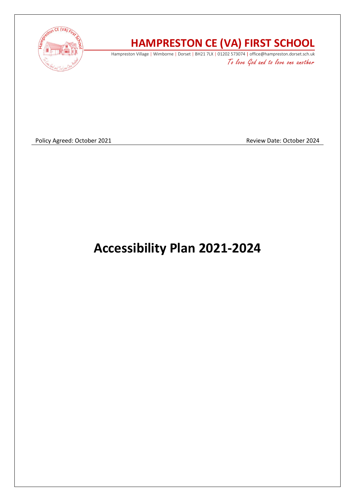

# **HAMPRESTON CE (VA) FIRST SCHOOL**

Hampreston Village | Wimborne | Dorset | BH21 7LX | 01202 573074 | office@hampreston.dorset.sch.uk To love God and to love one another

Policy Agreed: October 2021 **Policy Agreed: October 2024** 

**Accessibility Plan 2021-2024**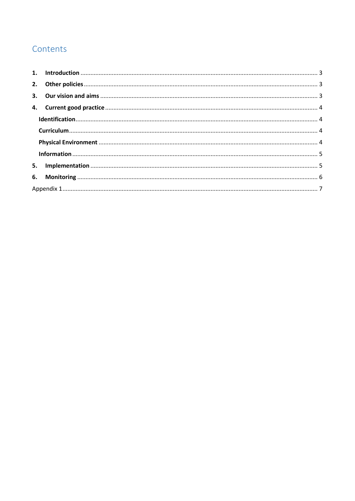# Contents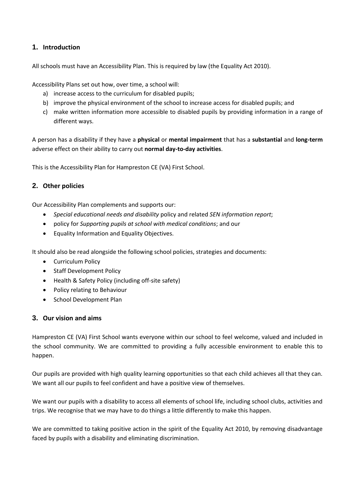## <span id="page-2-0"></span>**1. Introduction**

All schools must have an Accessibility Plan. This is required by law (the Equality Act 2010).

Accessibility Plans set out how, over time, a school will:

- a) increase access to the curriculum for disabled pupils;
- b) improve the physical environment of the school to increase access for disabled pupils; and
- c) make written information more accessible to disabled pupils by providing information in a range of different ways.

A person has a disability if they have a **physical** or **mental impairment** that has a **substantial** and **long-term**  adverse effect on their ability to carry out **normal day-to-day activities**.

This is the Accessibility Plan for Hampreston CE (VA) First School.

#### <span id="page-2-1"></span>**2. Other policies**

Our Accessibility Plan complements and supports our:

- *Special educational needs and disability* policy and related *SEN information report*;
- policy for *Supporting pupils at school with medical conditions*; and our
- Equality Information and Equality Objectives.

It should also be read alongside the following school policies, strategies and documents:

- Curriculum Policy
- Staff Development Policy
- Health & Safety Policy (including off-site safety)
- Policy relating to Behaviour
- School Development Plan

#### <span id="page-2-2"></span>**3. Our vision and aims**

Hampreston CE (VA) First School wants everyone within our school to feel welcome, valued and included in the school community. We are committed to providing a fully accessible environment to enable this to happen.

Our pupils are provided with high quality learning opportunities so that each child achieves all that they can. We want all our pupils to feel confident and have a positive view of themselves.

We want our pupils with a disability to access all elements of school life, including school clubs, activities and trips. We recognise that we may have to do things a little differently to make this happen.

We are committed to taking positive action in the spirit of the Equality Act 2010, by removing disadvantage faced by pupils with a disability and eliminating discrimination.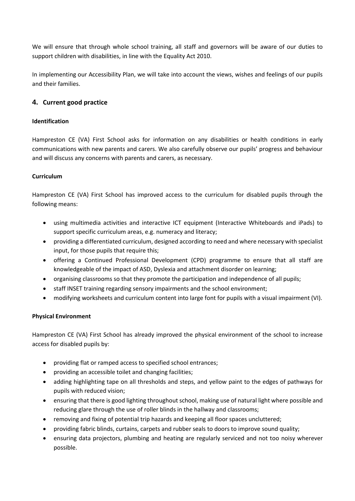We will ensure that through whole school training, all staff and governors will be aware of our duties to support children with disabilities, in line with the Equality Act 2010.

In implementing our Accessibility Plan, we will take into account the views, wishes and feelings of our pupils and their families.

### <span id="page-3-0"></span>**4. Current good practice**

#### <span id="page-3-1"></span>**Identification**

Hampreston CE (VA) First School asks for information on any disabilities or health conditions in early communications with new parents and carers. We also carefully observe our pupils' progress and behaviour and will discuss any concerns with parents and carers, as necessary.

#### <span id="page-3-2"></span>**Curriculum**

Hampreston CE (VA) First School has improved access to the curriculum for disabled pupils through the following means:

- using multimedia activities and interactive ICT equipment (Interactive Whiteboards and iPads) to support specific curriculum areas, e.g. numeracy and literacy;
- providing a differentiated curriculum, designed according to need and where necessary with specialist input, for those pupils that require this;
- offering a Continued Professional Development (CPD) programme to ensure that all staff are knowledgeable of the impact of ASD, Dyslexia and attachment disorder on learning;
- organising classrooms so that they promote the participation and independence of all pupils;
- staff INSET training regarding sensory impairments and the school environment;
- modifying worksheets and curriculum content into large font for pupils with a visual impairment (VI).

#### <span id="page-3-3"></span>**Physical Environment**

Hampreston CE (VA) First School has already improved the physical environment of the school to increase access for disabled pupils by:

- providing flat or ramped access to specified school entrances;
- providing an accessible toilet and changing facilities;
- adding highlighting tape on all thresholds and steps, and yellow paint to the edges of pathways for pupils with reduced vision;
- ensuring that there is good lighting throughout school, making use of natural light where possible and reducing glare through the use of roller blinds in the hallway and classrooms;
- removing and fixing of potential trip hazards and keeping all floor spaces uncluttered;
- providing fabric blinds, curtains, carpets and rubber seals to doors to improve sound quality;
- ensuring data projectors, plumbing and heating are regularly serviced and not too noisy wherever possible.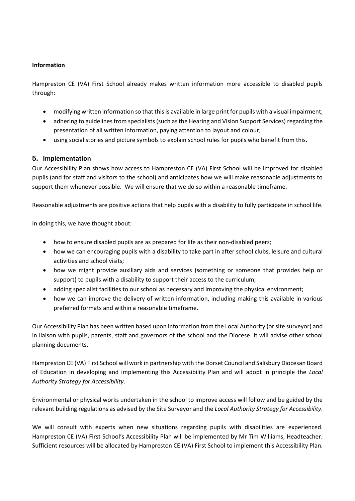#### <span id="page-4-0"></span>**Information**

Hampreston CE (VA) First School already makes written information more accessible to disabled pupils through:

- modifying written information so that this is available in large print for pupils with a visual impairment;
- adhering to guidelines from specialists (such as the Hearing and Vision Support Services) regarding the presentation of all written information, paying attention to layout and colour;
- using social stories and picture symbols to explain school rules for pupils who benefit from this.

#### <span id="page-4-1"></span>**5. Implementation**

Our Accessibility Plan shows how access to Hampreston CE (VA) First School will be improved for disabled pupils (and for staff and visitors to the school) and anticipates how we will make reasonable adjustments to support them whenever possible. We will ensure that we do so within a reasonable timeframe.

Reasonable adjustments are positive actions that help pupils with a disability to fully participate in school life.

In doing this, we have thought about:

- how to ensure disabled pupils are as prepared for life as their non-disabled peers;
- how we can encouraging pupils with a disability to take part in after school clubs, leisure and cultural activities and school visits;
- how we might provide auxiliary aids and services (something or someone that provides help or support) to pupils with a disability to support their access to the curriculum;
- adding specialist facilities to our school as necessary and improving the physical environment;
- how we can improve the delivery of written information, including making this available in various preferred formats and within a reasonable timeframe.

Our Accessibility Plan has been written based upon information from the Local Authority (or site surveyor) and in liaison with pupils, parents, staff and governors of the school and the Diocese. It will advise other school planning documents.

Hampreston CE (VA) First School will work in partnership with the Dorset Council and Salisbury Diocesan Board of Education in developing and implementing this Accessibility Plan and will adopt in principle the *Local Authority Strategy for Accessibility*.

Environmental or physical works undertaken in the school to improve access will follow and be guided by the relevant building regulations as advised by the Site Surveyor and the *Local Authority Strategy for Accessibility*.

We will consult with experts when new situations regarding pupils with disabilities are experienced. Hampreston CE (VA) First School's Accessibility Plan will be implemented by Mr Tim Williams, Headteacher. Sufficient resources will be allocated by Hampreston CE (VA) First School to implement this Accessibility Plan.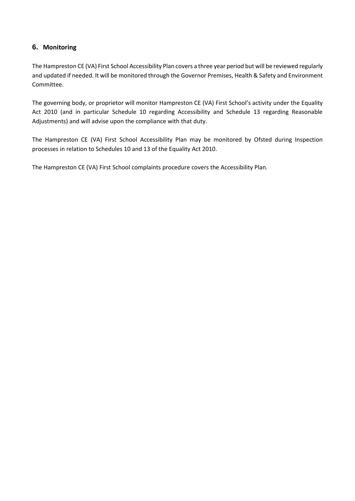### <span id="page-5-0"></span>**6. Monitoring**

The Hampreston CE (VA) First School Accessibility Plan covers a three year period but will be reviewed regularly and updated if needed. It will be monitored through the Governor Premises, Health & Safety and Environment Committee.

The governing body, or proprietor will monitor Hampreston CE (VA) First School's activity under the Equality Act 2010 (and in particular Schedule 10 regarding Accessibility and Schedule 13 regarding Reasonable Adjustments) and will advise upon the compliance with that duty.

The Hampreston CE (VA) First School Accessibility Plan may be monitored by Ofsted during Inspection processes in relation to Schedules 10 and 13 of the Equality Act 2010.

The Hampreston CE (VA) First School complaints procedure covers the Accessibility Plan.